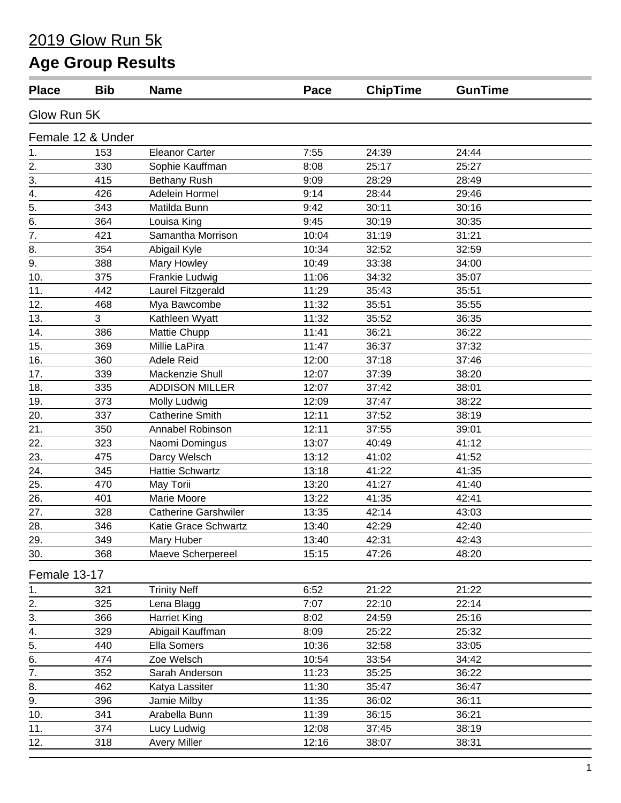### 2019 Glow Run 5k

# **Age Group Results**

| <b>Place</b>     | <b>Bib</b>        | <b>Name</b>                 | Pace  | <b>ChipTime</b> | <b>GunTime</b> |  |
|------------------|-------------------|-----------------------------|-------|-----------------|----------------|--|
| Glow Run 5K      |                   |                             |       |                 |                |  |
|                  | Female 12 & Under |                             |       |                 |                |  |
| 1.               | 153               | <b>Eleanor Carter</b>       | 7:55  | 24:39           | 24:44          |  |
| 2.               | 330               | Sophie Kauffman             | 8:08  | 25:17           | 25:27          |  |
| 3.               | 415               | <b>Bethany Rush</b>         | 9:09  | 28:29           | 28:49          |  |
| 4.               | 426               | Adelein Hormel              | 9:14  | 28:44           | 29:46          |  |
| 5.               | 343               | Matilda Bunn                | 9:42  | 30:11           | 30:16          |  |
| 6.               | 364               | Louisa King                 | 9:45  | 30:19           | 30:35          |  |
| 7.               | 421               | Samantha Morrison           | 10:04 | 31:19           | 31:21          |  |
| 8.               | 354               | Abigail Kyle                | 10:34 | 32:52           | 32:59          |  |
| 9.               | 388               | <b>Mary Howley</b>          | 10:49 | 33:38           | 34:00          |  |
| 10.              | 375               | Frankie Ludwig              | 11:06 | 34:32           | 35:07          |  |
| 11.              | 442               | Laurel Fitzgerald           | 11:29 | 35:43           | 35:51          |  |
| 12.              | 468               | Mya Bawcombe                | 11:32 | 35:51           | 35:55          |  |
| 13.              | 3                 | Kathleen Wyatt              | 11:32 | 35:52           | 36:35          |  |
| 14.              | 386               | Mattie Chupp                | 11:41 | 36:21           | 36:22          |  |
| 15.              | 369               | Millie LaPira               | 11:47 | 36:37           | 37:32          |  |
| 16.              | 360               | Adele Reid                  | 12:00 | 37:18           | 37:46          |  |
| 17.              | 339               | Mackenzie Shull             | 12:07 | 37:39           | 38:20          |  |
| 18.              | 335               | <b>ADDISON MILLER</b>       | 12:07 | 37:42           | 38:01          |  |
| 19.              | 373               | Molly Ludwig                | 12:09 | 37:47           | 38:22          |  |
| 20.              | 337               | <b>Catherine Smith</b>      | 12:11 | 37:52           | 38:19          |  |
| 21.              | 350               | Annabel Robinson            | 12:11 | 37:55           | 39:01          |  |
| 22.              | 323               | Naomi Domingus              | 13:07 | 40:49           | 41:12          |  |
| 23.              | 475               | Darcy Welsch                | 13:12 | 41:02           | 41:52          |  |
| 24.              | 345               | <b>Hattie Schwartz</b>      | 13:18 | 41:22           | 41:35          |  |
| 25.              | 470               | May Torii                   | 13:20 | 41:27           | 41:40          |  |
| 26.              | 401               | Marie Moore                 | 13:22 | 41:35           | 42:41          |  |
| 27.              | 328               | <b>Catherine Garshwiler</b> | 13:35 | 42:14           | 43:03          |  |
| 28.              | 346               | Katie Grace Schwartz        | 13:40 | 42:29           | 42:40          |  |
| 29.              | 349               | Mary Huber                  | 13:40 | 42:31           | 42:43          |  |
| 30.              | 368               | Maeve Scherpereel           | 15:15 | 47:26           | 48:20          |  |
| Female 13-17     |                   |                             |       |                 |                |  |
| 1.               | 321               | <b>Trinity Neff</b>         | 6:52  | 21:22           | 21:22          |  |
| $\frac{2}{3}$ .  | 325               | Lena Blagg                  | 7:07  | 22:10           | 22:14          |  |
|                  | 366               | <b>Harriet King</b>         | 8:02  | 24:59           | 25:16          |  |
| 4.               | 329               | Abigail Kauffman            | 8:09  | 25:22           | 25:32          |  |
| $\overline{5}$ . | 440               | Ella Somers                 | 10:36 | 32:58           | 33:05          |  |
| $\overline{6}$ . | 474               | Zoe Welsch                  | 10:54 | 33:54           | 34:42          |  |
| $\overline{7}$ . | 352               | Sarah Anderson              | 11:23 | 35:25           | 36:22          |  |
| 8.               | 462               | Katya Lassiter              | 11:30 | 35:47           | 36:47          |  |
| 9.               | 396               | Jamie Milby                 | 11:35 | 36:02           | 36:11          |  |
| 10.              | 341               | Arabella Bunn               | 11:39 | 36:15           | 36:21          |  |
| 11.              | 374               | Lucy Ludwig                 | 12:08 | 37:45           | 38:19          |  |
| 12.              | 318               | <b>Avery Miller</b>         | 12:16 | 38:07           | 38:31          |  |
|                  |                   |                             |       |                 |                |  |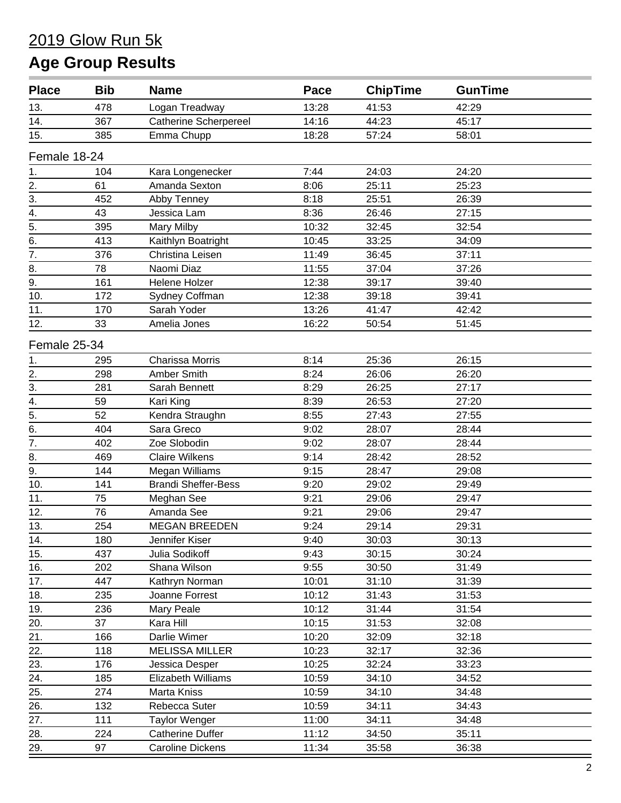| <b>Place</b>     | <b>Bib</b> | <b>Name</b>                  | Pace  | <b>ChipTime</b> | <b>GunTime</b> |
|------------------|------------|------------------------------|-------|-----------------|----------------|
| 13.              | 478        | Logan Treadway               | 13:28 | 41:53           | 42:29          |
| 14.              | 367        | <b>Catherine Scherpereel</b> | 14:16 | 44:23           | 45:17          |
| 15.              | 385        | Emma Chupp                   | 18:28 | 57:24           | 58:01          |
| Female 18-24     |            |                              |       |                 |                |
| 1.               | 104        | Kara Longenecker             | 7:44  | 24:03           | 24:20          |
| 2.               | 61         | Amanda Sexton                | 8:06  | 25:11           | 25:23          |
| 3.               | 452        | Abby Tenney                  | 8:18  | 25:51           | 26:39          |
| 4.               | 43         | Jessica Lam                  | 8:36  | 26:46           | 27:15          |
| $\overline{5}$ . | 395        | Mary Milby                   | 10:32 | 32:45           | 32:54          |
| 6.               | 413        | Kaithlyn Boatright           | 10:45 | 33:25           | 34:09          |
| $\overline{7}$ . | 376        | Christina Leisen             | 11:49 | 36:45           | 37:11          |
| 8.               | 78         | Naomi Diaz                   | 11:55 | 37:04           | 37:26          |
| 9.               | 161        | Helene Holzer                | 12:38 | 39:17           | 39:40          |
| 10.              | 172        | Sydney Coffman               | 12:38 | 39:18           | 39:41          |
| 11.              | 170        | Sarah Yoder                  | 13:26 | 41:47           | 42:42          |
| 12.              | 33         | Amelia Jones                 | 16:22 | 50:54           | 51:45          |
| Female 25-34     |            |                              |       |                 |                |
| 1.               | 295        | <b>Charissa Morris</b>       | 8:14  | 25:36           | 26:15          |
| 2.               | 298        | Amber Smith                  | 8:24  | 26:06           | 26:20          |
| 3.               | 281        | Sarah Bennett                | 8:29  | 26:25           | 27:17          |
| 4.               | 59         | Kari King                    | 8:39  | 26:53           | 27:20          |
| $\overline{5}$   | 52         | Kendra Straughn              | 8:55  | 27:43           | 27:55          |
| 6.               | 404        | Sara Greco                   | 9:02  | 28:07           | 28:44          |
| $\overline{7}$ . | 402        | Zoe Slobodin                 | 9:02  | 28:07           | 28:44          |
| 8.               | 469        | <b>Claire Wilkens</b>        | 9:14  | 28:42           | 28:52          |
| 9.               | 144        | Megan Williams               | 9:15  | 28:47           | 29:08          |
| 10.              | 141        | <b>Brandi Sheffer-Bess</b>   | 9:20  | 29:02           | 29:49          |
| 11.              | 75         | Meghan See                   | 9:21  | 29:06           | 29:47          |
| 12.              | 76         | Amanda See                   | 9:21  | 29:06           | 29:47          |
| 13.              | 254        | <b>MEGAN BREEDEN</b>         | 9:24  | 29:14           | 29:31          |
| 14.              | 180        | Jennifer Kiser               | 9:40  | 30:03           | 30:13          |
| 15.              | 437        | Julia Sodikoff               | 9:43  | 30:15           | 30:24          |
| 16.              | 202        | Shana Wilson                 | 9:55  | 30:50           | 31:49          |
| 17.              | 447        | Kathryn Norman               | 10:01 | 31:10           | 31:39          |
| 18.              | 235        | Joanne Forrest               | 10:12 | 31:43           | 31:53          |
| 19.              | 236        | Mary Peale                   | 10:12 | 31:44           | 31:54          |
| 20.              | 37         | Kara Hill                    | 10:15 | 31:53           | 32:08          |
| 21.              | 166        | Darlie Wimer                 | 10:20 | 32:09           | 32:18          |
| 22.              | 118        | <b>MELISSA MILLER</b>        | 10:23 | 32:17           | 32:36          |
| 23.              | 176        | Jessica Desper               | 10:25 | 32:24           | 33:23          |
| 24.              | 185        | Elizabeth Williams           | 10:59 | 34:10           | 34:52          |
| 25.              | 274        |                              | 10:59 | 34:10           | 34:48          |
| 26.              | 132        | Marta Kniss<br>Rebecca Suter | 10:59 | 34:11           | 34:43          |
|                  | 111        |                              | 11:00 | 34:11           |                |
| 27.<br>28.       | 224        | <b>Taylor Wenger</b>         | 11:12 |                 | 34:48<br>35:11 |
|                  |            | <b>Catherine Duffer</b>      |       | 34:50           |                |
| 29.              | 97         | <b>Caroline Dickens</b>      | 11:34 | 35:58           | 36:38          |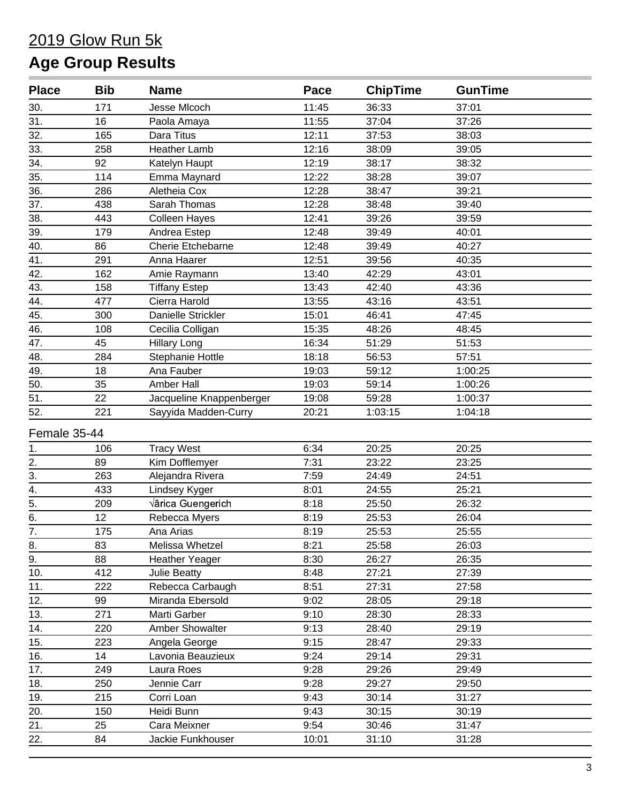| <b>Place</b>     | <b>Bib</b> | <b>Name</b>              | Pace  | <b>ChipTime</b> | <b>GunTime</b> |
|------------------|------------|--------------------------|-------|-----------------|----------------|
| 30.              | 171        | Jesse MIcoch             | 11:45 | 36:33           | 37:01          |
| 31.              | 16         | Paola Amaya              | 11:55 | 37:04           | 37:26          |
| 32.              | 165        | Dara Titus               | 12:11 | 37:53           | 38:03          |
| 33.              | 258        | <b>Heather Lamb</b>      | 12:16 | 38:09           | 39:05          |
| 34.              | 92         | Katelyn Haupt            | 12:19 | 38:17           | 38:32          |
| 35.              | 114        | Emma Maynard             | 12:22 | 38:28           | 39:07          |
| 36.              | 286        | Aletheia Cox             | 12:28 | 38:47           | 39:21          |
| 37.              | 438        | Sarah Thomas             | 12:28 | 38:48           | 39:40          |
| 38.              | 443        | <b>Colleen Hayes</b>     | 12:41 | 39:26           | 39:59          |
| 39.              | 179        | Andrea Estep             | 12:48 | 39:49           | 40:01          |
| 40.              | 86         | <b>Cherie Etchebarne</b> | 12:48 | 39:49           | 40:27          |
| 41.              | 291        | Anna Haarer              | 12:51 | 39:56           | 40:35          |
| 42.              | 162        | Amie Raymann             | 13:40 | 42:29           | 43:01          |
| 43.              | 158        | <b>Tiffany Estep</b>     | 13:43 | 42:40           | 43:36          |
| 44.              | 477        | Cierra Harold            | 13:55 | 43:16           | 43:51          |
| 45.              | 300        | Danielle Strickler       | 15:01 | 46:41           | 47:45          |
| 46.              | 108        | Cecilia Colligan         | 15:35 | 48:26           | 48:45          |
| 47.              | 45         | <b>Hillary Long</b>      | 16:34 | 51:29           | 51:53          |
| 48.              | 284        | Stephanie Hottle         | 18:18 | 56:53           | 57:51          |
| 49.              | 18         | Ana Fauber               | 19:03 | 59:12           | 1:00:25        |
| 50.              | 35         | Amber Hall               | 19:03 | 59:14           | 1:00:26        |
| $\overline{51}$  | 22         | Jacqueline Knappenberger | 19:08 | 59:28           | 1:00:37        |
| 52.              | 221        | Sayyida Madden-Curry     | 20:21 | 1:03:15         | 1:04:18        |
| Female 35-44     |            |                          |       |                 |                |
| 1.               | 106        | <b>Tracy West</b>        | 6:34  | 20:25           | 20:25          |
| 2.               | 89         | Kim Dofflemyer           | 7:31  | 23:22           | 23:25          |
| $\overline{3}$ . | 263        | Alejandra Rivera         | 7:59  | 24:49           | 24:51          |
| $\overline{4}$ . | 433        | Lindsey Kyger            | 8:01  | 24:55           | 25:21          |
| $\overline{5}$ . | 209        | Érica Guengerich         | 8:18  | 25:50           | 26:32          |
| 6.               | 12         | Rebecca Myers            | 8:19  | 25:53           | 26:04          |
| $\overline{7}$ . | 175        | Ana Arias                | 8:19  | 25:53           | 25:55          |
| 8.               | 83         | Melissa Whetzel          | 8:21  | 25:58           | 26:03          |
| 9.               | 88         | <b>Heather Yeager</b>    | 8:30  | 26:27           | 26:35          |
| 10.              | 412        | Julie Beatty             | 8:48  | 27:21           | 27:39          |
| 11.              | 222        | Rebecca Carbaugh         | 8:51  | 27:31           | 27:58          |
| 12.              | 99         | Miranda Ebersold         | 9:02  | 28:05           | 29:18          |
| 13.              | 271        | Marti Garber             | 9:10  | 28:30           | 28:33          |
| 14.              | 220        | Amber Showalter          | 9:13  | 28:40           | 29:19          |
| 15.              | 223        | Angela George            | 9:15  | 28:47           | 29:33          |
| 16.              | 14         | Lavonia Beauzieux        | 9:24  | 29:14           | 29:31          |
| 17.              | 249        | Laura Roes               | 9:28  | 29:26           | 29:49          |
| 18.              | 250        | Jennie Carr              | 9:28  | 29:27           | 29:50          |
| 19.              | 215        | Corri Loan               | 9:43  | 30:14           | 31:27          |
| 20.              | 150        | Heidi Bunn               | 9:43  | 30:15           | 30:19          |
| 21.              | 25         | Cara Meixner             | 9:54  | 30:46           | 31:47          |
| 22.              | 84         | Jackie Funkhouser        | 10:01 | 31:10           | 31:28          |
|                  |            |                          |       |                 |                |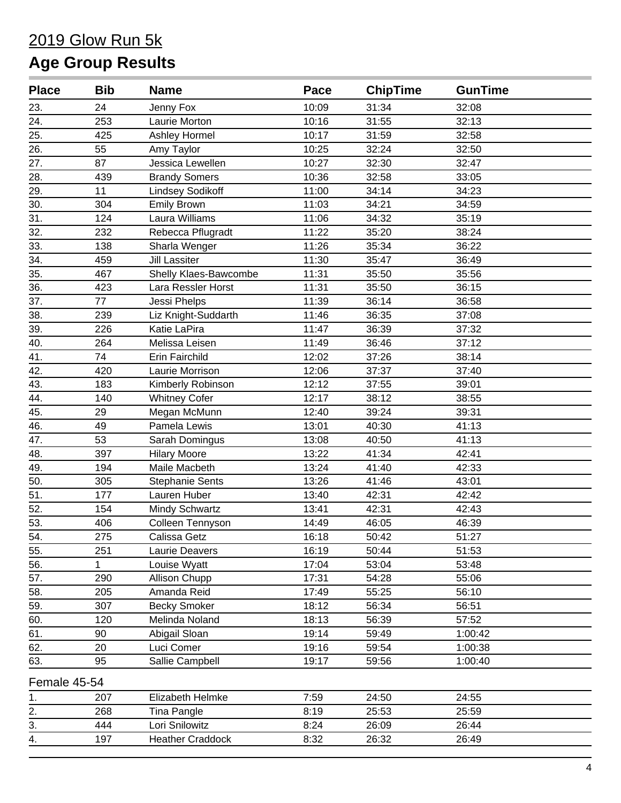| <b>Place</b>       | <b>Bib</b> | <b>Name</b>             | Pace  | <b>ChipTime</b> | <b>GunTime</b> |  |
|--------------------|------------|-------------------------|-------|-----------------|----------------|--|
| 23.                | 24         | Jenny Fox               | 10:09 | 31:34           | 32:08          |  |
| 24.                | 253        | Laurie Morton           | 10:16 | 31:55           | 32:13          |  |
| 25.                | 425        | Ashley Hormel           | 10:17 | 31:59           | 32:58          |  |
| 26.                | 55         | Amy Taylor              | 10:25 | 32:24           | 32:50          |  |
| 27.                | 87         | Jessica Lewellen        | 10:27 | 32:30           | 32:47          |  |
| 28.                | 439        | <b>Brandy Somers</b>    | 10:36 | 32:58           | 33:05          |  |
| 29.                | 11         | <b>Lindsey Sodikoff</b> | 11:00 | 34:14           | 34:23          |  |
| 30.                | 304        | <b>Emily Brown</b>      | 11:03 | 34:21           | 34:59          |  |
| 31.                | 124        | Laura Williams          | 11:06 | 34:32           | 35:19          |  |
| 32.                | 232        | Rebecca Pflugradt       | 11:22 | 35:20           | 38:24          |  |
| 33.                | 138        | Sharla Wenger           | 11:26 | 35:34           | 36:22          |  |
| 34.                | 459        | <b>Jill Lassiter</b>    | 11:30 | 35:47           | 36:49          |  |
| 35.                | 467        | Shelly Klaes-Bawcombe   | 11:31 | 35:50           | 35:56          |  |
| 36.                | 423        | Lara Ressler Horst      | 11:31 | 35:50           | 36:15          |  |
| 37.                | 77         | Jessi Phelps            | 11:39 | 36:14           | 36:58          |  |
| 38.                | 239        | Liz Knight-Suddarth     | 11:46 | 36:35           | 37:08          |  |
| 39.                | 226        | Katie LaPira            | 11:47 | 36:39           | 37:32          |  |
| 40.                | 264        | Melissa Leisen          | 11:49 | 36:46           | 37:12          |  |
| 41.                | 74         | <b>Erin Fairchild</b>   | 12:02 | 37:26           | 38:14          |  |
| 42.                | 420        | Laurie Morrison         | 12:06 | 37:37           | 37:40          |  |
| 43.                | 183        | Kimberly Robinson       | 12:12 | 37:55           | 39:01          |  |
| 44.                | 140        | <b>Whitney Cofer</b>    | 12:17 | 38:12           | 38:55          |  |
| 45.                | 29         | Megan McMunn            | 12:40 | 39:24           | 39:31          |  |
| 46.                | 49         | Pamela Lewis            | 13:01 | 40:30           | 41:13          |  |
| 47.                | 53         | Sarah Domingus          | 13:08 | 40:50           | 41:13          |  |
| 48.                | 397        | <b>Hilary Moore</b>     | 13:22 | 41:34           | 42:41          |  |
| 49.                | 194        | Maile Macbeth           | 13:24 | 41:40           | 42:33          |  |
| 50.                | 305        | <b>Stephanie Sents</b>  | 13:26 | 41:46           | 43:01          |  |
| 51.                | 177        | Lauren Huber            | 13:40 | 42:31           | 42:42          |  |
| 52.                | 154        | Mindy Schwartz          | 13:41 | 42:31           | 42:43          |  |
| 53.                | 406        | Colleen Tennyson        | 14:49 | 46:05           | 46:39          |  |
| $\underline{54}$ . | 275        | Calissa Getz            | 16:18 | 50:42           | 51:27          |  |
| 55.                | 251        | <b>Laurie Deavers</b>   | 16:19 | 50:44           | 51:53          |  |
| 56.                | 1          | Louise Wyatt            | 17:04 | 53:04           | 53:48          |  |
| 57.                | 290        | Allison Chupp           | 17:31 | 54:28           | 55:06          |  |
| 58.                | 205        | Amanda Reid             | 17:49 | 55:25           | 56:10          |  |
| 59.                | 307        | <b>Becky Smoker</b>     | 18:12 | 56:34           | 56:51          |  |
| 60.                | 120        | Melinda Noland          | 18:13 | 56:39           | 57:52          |  |
| 61.                | 90         | Abigail Sloan           | 19:14 | 59:49           | 1:00:42        |  |
| 62.                | 20         | Luci Comer              | 19:16 | 59:54           | 1:00:38        |  |
| 63.                | 95         | Sallie Campbell         | 19:17 | 59:56           | 1:00:40        |  |
| Female 45-54       |            |                         |       |                 |                |  |
| 1.                 | 207        | Elizabeth Helmke        | 7:59  | 24:50           | 24:55          |  |
| 2.                 | 268        | Tina Pangle             | 8:19  | 25:53           | 25:59          |  |
| 3.                 | 444        | Lori Snilowitz          | 8:24  | 26:09           | 26:44          |  |
| 4.                 | 197        | <b>Heather Craddock</b> | 8:32  | 26:32           | 26:49          |  |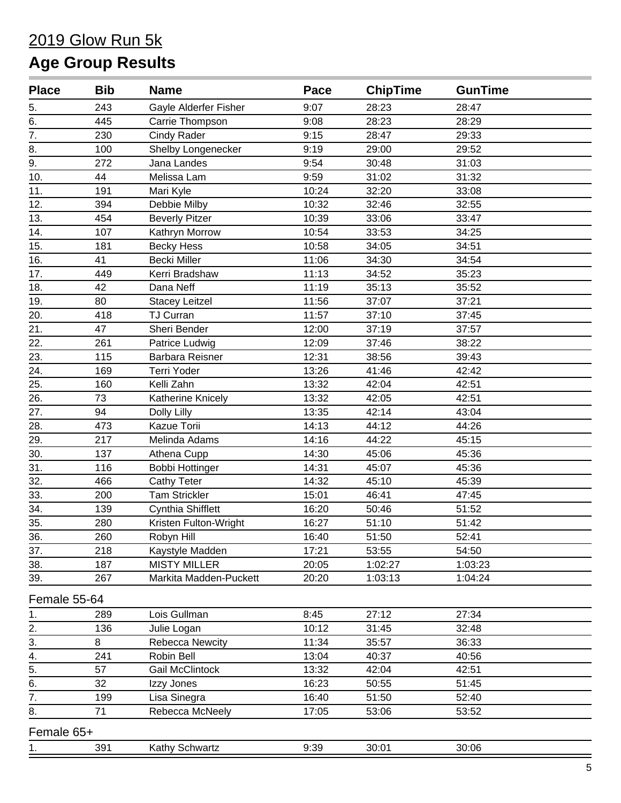| <b>Place</b> | <b>Bib</b> | <b>Name</b>            | Pace  | <b>ChipTime</b> | <b>GunTime</b> |
|--------------|------------|------------------------|-------|-----------------|----------------|
| 5.           | 243        | Gayle Alderfer Fisher  | 9:07  | 28:23           | 28:47          |
| 6.           | 445        | Carrie Thompson        | 9:08  | 28:23           | 28:29          |
| 7.           | 230        | Cindy Rader            | 9:15  | 28:47           | 29:33          |
| 8.           | 100        | Shelby Longenecker     | 9:19  | 29:00           | 29:52          |
| 9.           | 272        | Jana Landes            | 9:54  | 30:48           | 31:03          |
| 10.          | 44         | Melissa Lam            | 9:59  | 31:02           | 31:32          |
| 11.          | 191        | Mari Kyle              | 10:24 | 32:20           | 33:08          |
| 12.          | 394        | Debbie Milby           | 10:32 | 32:46           | 32:55          |
| 13.          | 454        | <b>Beverly Pitzer</b>  | 10:39 | 33:06           | 33:47          |
| 14.          | 107        | Kathryn Morrow         | 10:54 | 33:53           | 34:25          |
| 15.          | 181        | <b>Becky Hess</b>      | 10:58 | 34:05           | 34:51          |
| 16.          | 41         | <b>Becki Miller</b>    | 11:06 | 34:30           | 34:54          |
| 17.          | 449        | Kerri Bradshaw         | 11:13 | 34:52           | 35:23          |
| 18.          | 42         | Dana Neff              | 11:19 | 35:13           | 35:52          |
| 19.          | 80         | <b>Stacey Leitzel</b>  | 11:56 | 37:07           | 37:21          |
| 20.          | 418        | <b>TJ Curran</b>       | 11:57 | 37:10           | 37:45          |
| 21.          | 47         | Sheri Bender           | 12:00 | 37:19           | 37:57          |
| 22.          | 261        | Patrice Ludwig         | 12:09 | 37:46           | 38:22          |
| 23.          | 115        | Barbara Reisner        | 12:31 | 38:56           | 39:43          |
| 24.          | 169        | Terri Yoder            | 13:26 | 41:46           | 42:42          |
| 25.          | 160        | Kelli Zahn             | 13:32 | 42:04           | 42:51          |
| 26.          | 73         | Katherine Knicely      | 13:32 | 42:05           | 42:51          |
| 27.          | 94         | Dolly Lilly            | 13:35 | 42:14           | 43:04          |
| 28.          | 473        | Kazue Torii            | 14:13 | 44:12           | 44:26          |
| 29.          | 217        | Melinda Adams          | 14:16 | 44:22           | 45:15          |
| 30.          | 137        | Athena Cupp            | 14:30 | 45:06           | 45:36          |
| 31.          | 116        | <b>Bobbi Hottinger</b> | 14:31 | 45:07           | 45:36          |
| 32.          | 466        | <b>Cathy Teter</b>     | 14:32 | 45:10           | 45:39          |
| 33.          | 200        | <b>Tam Strickler</b>   | 15:01 | 46:41           | 47:45          |
| 34.          | 139        | Cynthia Shifflett      | 16:20 | 50:46           | 51:52          |
| 35.          | 280        | Kristen Fulton-Wright  | 16:27 | 51:10           | 51:42          |
| 36.          | 260        | Robyn Hill             | 16:40 | 51:50           | 52:41          |
| 37.          | 218        | Kaystyle Madden        | 17:21 | 53:55           | 54:50          |
| 38.          | 187        | <b>MISTY MILLER</b>    | 20:05 | 1:02:27         | 1:03:23        |
| 39.          | 267        | Markita Madden-Puckett | 20:20 | 1:03:13         | 1:04:24        |
| Female 55-64 |            |                        |       |                 |                |
| 1.           | 289        | Lois Gullman           | 8:45  | 27:12           | 27:34          |
| 2.           | 136        | Julie Logan            | 10:12 | 31:45           | 32:48          |
| 3.           | 8          | Rebecca Newcity        | 11:34 | 35:57           | 36:33          |
| 4.           | 241        | Robin Bell             | 13:04 | 40:37           | 40:56          |
| 5.           | 57         | <b>Gail McClintock</b> | 13:32 | 42:04           | 42:51          |
| 6.           | 32         | Izzy Jones             | 16:23 | 50:55           | 51:45          |
| 7.           | 199        | Lisa Sinegra           | 16:40 | 51:50           | 52:40          |
| 8.           | 71         | Rebecca McNeely        | 17:05 | 53:06           | 53:52          |
| Female 65+   |            |                        |       |                 |                |
| 1.           | 391        | Kathy Schwartz         | 9:39  | 30:01           | 30:06          |
|              |            |                        |       |                 |                |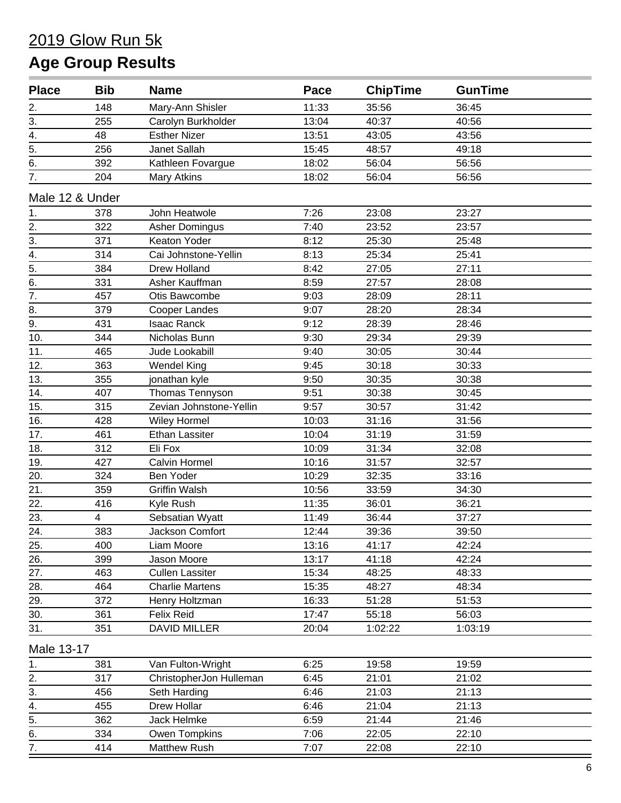| <b>Place</b>     | <b>Bib</b> | <b>Name</b>             | Pace  | <b>ChipTime</b> | <b>GunTime</b> |  |
|------------------|------------|-------------------------|-------|-----------------|----------------|--|
| 2.               | 148        | Mary-Ann Shisler        | 11:33 | 35:56           | 36:45          |  |
| 3.               | 255        | Carolyn Burkholder      | 13:04 | 40:37           | 40:56          |  |
| 4.               | 48         | <b>Esther Nizer</b>     | 13:51 | 43:05           | 43:56          |  |
| 5.               | 256        | Janet Sallah            | 15:45 | 48:57           | 49:18          |  |
| 6.               | 392        | Kathleen Fovargue       | 18:02 | 56:04           | 56:56          |  |
| $\overline{7}$ . | 204        | Mary Atkins             | 18:02 | 56:04           | 56:56          |  |
| Male 12 & Under  |            |                         |       |                 |                |  |
| 1.               | 378        | John Heatwole           | 7:26  | 23:08           | 23:27          |  |
| $\frac{2}{3}$    | 322        | <b>Asher Domingus</b>   | 7:40  | 23:52           | 23:57          |  |
|                  | 371        | Keaton Yoder            | 8:12  | 25:30           | 25:48          |  |
| $\overline{4}$ . | 314        | Cai Johnstone-Yellin    | 8:13  | 25:34           | 25:41          |  |
| $\overline{5}$ . | 384        | <b>Drew Holland</b>     | 8:42  | 27:05           | 27:11          |  |
| 6.               | 331        | Asher Kauffman          | 8:59  | 27:57           | 28:08          |  |
| $\overline{7}$ . | 457        | Otis Bawcombe           | 9:03  | 28:09           | 28:11          |  |
| 8.               | 379        | <b>Cooper Landes</b>    | 9:07  | 28:20           | 28:34          |  |
| 9.               | 431        | <b>Isaac Ranck</b>      | 9:12  | 28:39           | 28:46          |  |
| 10.              | 344        | Nicholas Bunn           | 9:30  | 29:34           | 29:39          |  |
| 11.              | 465        | Jude Lookabill          | 9:40  | 30:05           | 30:44          |  |
| 12.              | 363        | <b>Wendel King</b>      | 9:45  | 30:18           | 30:33          |  |
| 13.              | 355        | jonathan kyle           | 9:50  | 30:35           | 30:38          |  |
| 14.              | 407        | Thomas Tennyson         | 9:51  | 30:38           | 30:45          |  |
| 15.              | 315        | Zevian Johnstone-Yellin | 9:57  | 30:57           | 31:42          |  |
| 16.              | 428        | <b>Wiley Hormel</b>     | 10:03 | 31:16           | 31:56          |  |
| 17.              | 461        | <b>Ethan Lassiter</b>   | 10:04 | 31:19           | 31:59          |  |
| 18.              | 312        | Eli Fox                 | 10:09 | 31:34           | 32:08          |  |
| 19.              | 427        | Calvin Hormel           | 10:16 | 31:57           | 32:57          |  |
| 20.              | 324        | Ben Yoder               | 10:29 | 32:35           | 33:16          |  |
| 21.              | 359        | <b>Griffin Walsh</b>    | 10:56 | 33:59           | 34:30          |  |
| 22.              | 416        | Kyle Rush               | 11:35 | 36:01           | 36:21          |  |
| 23.              | 4          | Sebsatian Wyatt         | 11:49 | 36:44           | 37:27          |  |
| 24.              | 383        | Jackson Comfort         | 12:44 | 39:36           | 39:50          |  |
| 25.              | 400        | Liam Moore              | 13:16 | 41:17           | 42:24          |  |
| 26.              | 399        | Jason Moore             | 13:17 | 41:18           | 42:24          |  |
| 27.              | 463        | <b>Cullen Lassiter</b>  | 15:34 | 48:25           | 48:33          |  |
| 28.              | 464        | <b>Charlie Martens</b>  | 15:35 | 48:27           | 48:34          |  |
| 29.              | 372        | Henry Holtzman          | 16:33 | 51:28           | 51:53          |  |
| 30.              | 361        | <b>Felix Reid</b>       | 17:47 | 55:18           | 56:03          |  |
| 31.              | 351        | <b>DAVID MILLER</b>     | 20:04 | 1:02:22         | 1:03:19        |  |
| Male 13-17       |            |                         |       |                 |                |  |
| 1.               | 381        | Van Fulton-Wright       | 6:25  | 19:58           | 19:59          |  |
| 2.               | 317        | ChristopherJon Hulleman | 6:45  | 21:01           | 21:02          |  |
| 3.               | 456        | Seth Harding            | 6:46  | 21:03           | 21:13          |  |
| 4.               | 455        | Drew Hollar             | 6:46  | 21:04           | 21:13          |  |
| 5.               | 362        | Jack Helmke             | 6:59  | 21:44           | 21:46          |  |
| 6.               | 334        | Owen Tompkins           | 7:06  | 22:05           | 22:10          |  |
| 7.               | 414        | <b>Matthew Rush</b>     | 7:07  | 22:08           | 22:10          |  |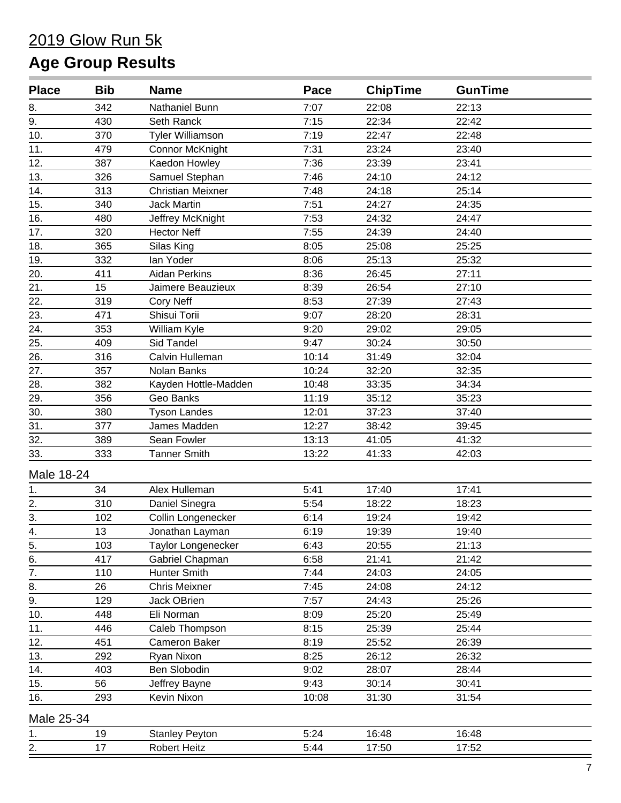| <b>Place</b>      | <b>Bib</b> | <b>Name</b>               | Pace  | <b>ChipTime</b> | <b>GunTime</b> |  |
|-------------------|------------|---------------------------|-------|-----------------|----------------|--|
| 8.                | 342        | Nathaniel Bunn            | 7:07  | 22:08           | 22:13          |  |
| 9.                | 430        | Seth Ranck                | 7:15  | 22:34           | 22:42          |  |
| 10.               | 370        | <b>Tyler Williamson</b>   | 7:19  | 22:47           | 22:48          |  |
| 11.               | 479        | Connor McKnight           | 7:31  | 23:24           | 23:40          |  |
| 12.               | 387        | Kaedon Howley             | 7:36  | 23:39           | 23:41          |  |
| 13.               | 326        | Samuel Stephan            | 7:46  | 24:10           | 24:12          |  |
| 14.               | 313        | <b>Christian Meixner</b>  | 7:48  | 24:18           | 25:14          |  |
| 15.               | 340        | <b>Jack Martin</b>        | 7:51  | 24:27           | 24:35          |  |
| 16.               | 480        | Jeffrey McKnight          | 7:53  | 24:32           | 24:47          |  |
| 17.               | 320        | <b>Hector Neff</b>        | 7:55  | 24:39           | 24:40          |  |
| 18.               | 365        | Silas King                | 8:05  | 25:08           | 25:25          |  |
| 19.               | 332        | lan Yoder                 | 8:06  | 25:13           | 25:32          |  |
| 20.               | 411        | Aidan Perkins             | 8:36  | 26:45           | 27:11          |  |
| 21.               | 15         | Jaimere Beauzieux         | 8:39  | 26:54           | 27:10          |  |
| 22.               | 319        | <b>Cory Neff</b>          | 8:53  | 27:39           | 27:43          |  |
| 23.               | 471        | Shisui Torii              | 9:07  | 28:20           | 28:31          |  |
| 24.               | 353        | William Kyle              | 9:20  | 29:02           | 29:05          |  |
| 25.               | 409        | <b>Sid Tandel</b>         | 9:47  | 30:24           | 30:50          |  |
| 26.               | 316        | Calvin Hulleman           | 10:14 | 31:49           | 32:04          |  |
| 27.               | 357        | Nolan Banks               | 10:24 | 32:20           | 32:35          |  |
| 28.               | 382        | Kayden Hottle-Madden      | 10:48 | 33:35           | 34:34          |  |
| 29.               | 356        | Geo Banks                 | 11:19 | 35:12           | 35:23          |  |
| 30.               | 380        | <b>Tyson Landes</b>       | 12:01 | 37:23           | 37:40          |  |
| 31.               | 377        | James Madden              | 12:27 | 38:42           | 39:45          |  |
| 32.               | 389        | Sean Fowler               | 13:13 | 41:05           | 41:32          |  |
| 33.               | 333        | <b>Tanner Smith</b>       | 13:22 | 41:33           | 42:03          |  |
| Male 18-24        |            |                           |       |                 |                |  |
| 1.                | 34         | Alex Hulleman             | 5:41  | 17:40           | 17:41          |  |
| 2.                | 310        | Daniel Sinegra            | 5:54  | 18:22           | 18:23          |  |
| $\overline{3}$ .  | 102        | Collin Longenecker        | 6:14  | 19:24           | 19:42          |  |
| $\overline{4}$ .  | 13         | Jonathan Layman           | 6:19  | 19:39           | 19:40          |  |
| 5.                | 103        | <b>Taylor Longenecker</b> | 6:43  | 20:55           | 21:13          |  |
| 6.                | 417        | Gabriel Chapman           | 6:58  | 21:41           | 21:42          |  |
| $\overline{7}$ .  | 110        | Hunter Smith              | 7:44  | 24:03           | 24:05          |  |
| 8.                | 26         | <b>Chris Meixner</b>      | 7:45  | 24:08           | 24:12          |  |
| 9.                | 129        | Jack OBrien               | 7:57  | 24:43           | 25:26          |  |
| 10.               | 448        | Eli Norman                | 8:09  | 25:20           | 25:49          |  |
| 11.               | 446        | Caleb Thompson            | 8:15  | 25:39           | 25:44          |  |
| 12.               | 451        | Cameron Baker             | 8:19  | 25:52           | 26:39          |  |
| 13.               | 292        | Ryan Nixon                | 8:25  | 26:12           | 26:32          |  |
| $\overline{14}$ . | 403        | Ben Slobodin              | 9:02  | 28:07           | 28:44          |  |
| 15.               | 56         | Jeffrey Bayne             | 9:43  | 30:14           | 30:41          |  |
| 16.               | 293        | Kevin Nixon               | 10:08 | 31:30           | 31:54          |  |
| Male 25-34        |            |                           |       |                 |                |  |
| 1.                | 19         | <b>Stanley Peyton</b>     | 5:24  | 16:48           | 16:48          |  |
| 2.                | 17         | <b>Robert Heitz</b>       | 5:44  | 17:50           | 17:52          |  |
|                   |            |                           |       |                 |                |  |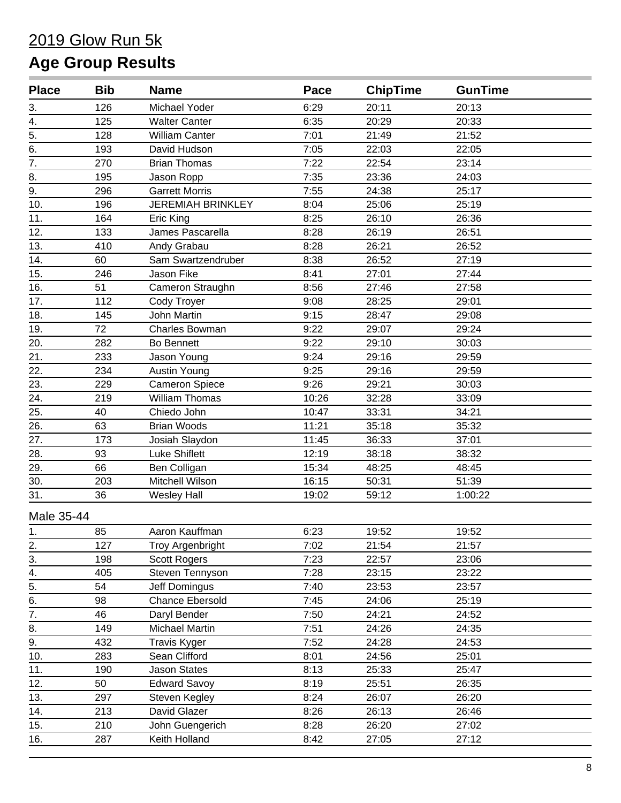| <b>Place</b>      | <b>Bib</b> | <b>Name</b>              | Pace  | <b>ChipTime</b> | <b>GunTime</b> |  |
|-------------------|------------|--------------------------|-------|-----------------|----------------|--|
| 3.                | 126        | Michael Yoder            | 6:29  | 20:11           | 20:13          |  |
| 4.                | 125        | <b>Walter Canter</b>     | 6:35  | 20:29           | 20:33          |  |
| 5.                | 128        | <b>William Canter</b>    | 7:01  | 21:49           | 21:52          |  |
| $\overline{6}$ .  | 193        | David Hudson             | 7:05  | 22:03           | 22:05          |  |
| $\overline{7}$ .  | 270        | <b>Brian Thomas</b>      | 7:22  | 22:54           | 23:14          |  |
| 8.                | 195        | Jason Ropp               | 7:35  | 23:36           | 24:03          |  |
| 9.                | 296        | <b>Garrett Morris</b>    | 7:55  | 24:38           | 25:17          |  |
| 10.               | 196        | <b>JEREMIAH BRINKLEY</b> | 8:04  | 25:06           | 25:19          |  |
| 11.               | 164        | Eric King                | 8:25  | 26:10           | 26:36          |  |
| 12.               | 133        | James Pascarella         | 8:28  | 26:19           | 26:51          |  |
| 13.               | 410        | Andy Grabau              | 8:28  | 26:21           | 26:52          |  |
| 14.               | 60         | Sam Swartzendruber       | 8:38  | 26:52           | 27:19          |  |
| 15.               | 246        | Jason Fike               | 8:41  | 27:01           | 27:44          |  |
| 16.               | 51         | Cameron Straughn         | 8:56  | 27:46           | 27:58          |  |
| 17.               | 112        | Cody Troyer              | 9:08  | 28:25           | 29:01          |  |
| 18.               | 145        | John Martin              | 9:15  | 28:47           | 29:08          |  |
| 19.               | 72         | Charles Bowman           | 9:22  | 29:07           | 29:24          |  |
| 20.               | 282        | Bo Bennett               | 9:22  | 29:10           | 30:03          |  |
| 21.               | 233        | Jason Young              | 9:24  | 29:16           | 29:59          |  |
| 22.               | 234        | <b>Austin Young</b>      | 9:25  | 29:16           | 29:59          |  |
| 23.               | 229        | <b>Cameron Spiece</b>    | 9:26  | 29:21           | 30:03          |  |
| $\overline{24}$ . | 219        | William Thomas           | 10:26 | 32:28           | 33:09          |  |
| 25.               | 40         | Chiedo John              | 10:47 | 33:31           | 34:21          |  |
| 26.               | 63         | <b>Brian Woods</b>       | 11:21 | 35:18           | 35:32          |  |
| 27.               | 173        | Josiah Slaydon           | 11:45 | 36:33           | 37:01          |  |
| 28.               | 93         | <b>Luke Shiflett</b>     | 12:19 | 38:18           | 38:32          |  |
| 29.               | 66         | Ben Colligan             | 15:34 | 48:25           | 48:45          |  |
| 30.               | 203        | Mitchell Wilson          | 16:15 | 50:31           | 51:39          |  |
| 31.               | 36         | <b>Wesley Hall</b>       | 19:02 | 59:12           | 1:00:22        |  |
| Male 35-44        |            |                          |       |                 |                |  |
| 1.                | 85         | Aaron Kauffman           | 6:23  | 19:52           | 19:52          |  |
|                   | 127        | <b>Troy Argenbright</b>  | 7:02  | 21:54           | 21:57          |  |
| $\frac{2}{3}$ .   | 198        | <b>Scott Rogers</b>      | 7:23  | 22:57           | 23:06          |  |
| 4.                | 405        | Steven Tennyson          | 7:28  | 23:15           | 23:22          |  |
| $\overline{5}$ .  | 54         | Jeff Domingus            | 7:40  | 23:53           | 23:57          |  |
| $\overline{6}$ .  | 98         | <b>Chance Ebersold</b>   | 7:45  | 24:06           | 25:19          |  |
| $\overline{7}$ .  | 46         | Daryl Bender             | 7:50  | 24:21           | 24:52          |  |
| 8.                | 149        | Michael Martin           | 7:51  | 24:26           | 24:35          |  |
| 9.                | 432        | <b>Travis Kyger</b>      | 7:52  | 24:28           | 24:53          |  |
| 10.               | 283        | Sean Clifford            | 8:01  | 24:56           | 25:01          |  |
| 11.               | 190        | <b>Jason States</b>      | 8:13  | 25:33           | 25:47          |  |
| 12.               | 50         | <b>Edward Savoy</b>      | 8:19  | 25:51           | 26:35          |  |
| 13.               | 297        | Steven Kegley            | 8:24  | 26:07           | 26:20          |  |
| 14.               | 213        | David Glazer             | 8:26  | 26:13           | 26:46          |  |
| 15.               | 210        | John Guengerich          | 8:28  | 26:20           | 27:02          |  |
| 16.               | 287        | Keith Holland            | 8:42  | 27:05           | 27:12          |  |
|                   |            |                          |       |                 |                |  |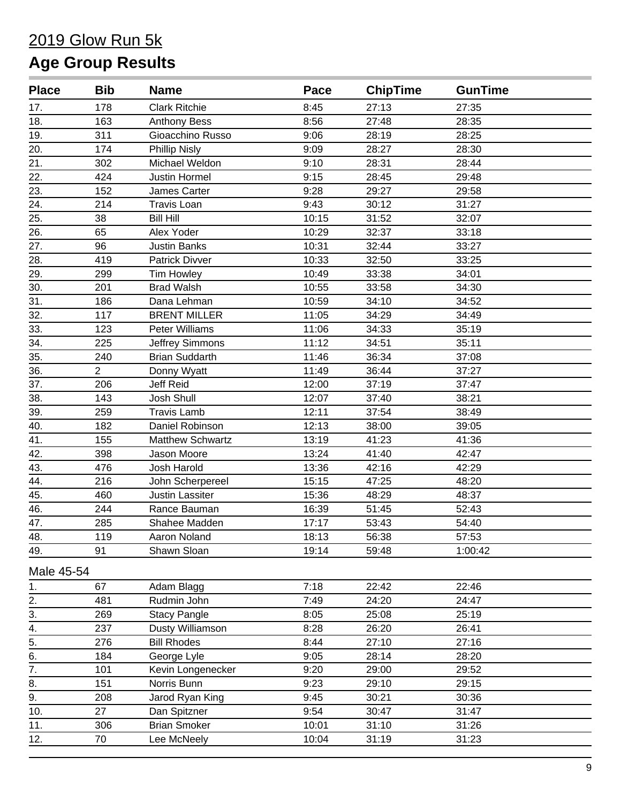| <b>Place</b>     | <b>Bib</b>     | <b>Name</b>           | Pace  | <b>ChipTime</b> | <b>GunTime</b> |  |
|------------------|----------------|-----------------------|-------|-----------------|----------------|--|
| 17.              | 178            | <b>Clark Ritchie</b>  | 8:45  | 27:13           | 27:35          |  |
| 18.              | 163            | <b>Anthony Bess</b>   | 8:56  | 27:48           | 28:35          |  |
| 19.              | 311            | Gioacchino Russo      | 9:06  | 28:19           | 28:25          |  |
| 20.              | 174            | <b>Phillip Nisly</b>  | 9:09  | 28:27           | 28:30          |  |
| 21.              | 302            | Michael Weldon        | 9:10  | 28:31           | 28:44          |  |
| 22.              | 424            | <b>Justin Hormel</b>  | 9:15  | 28:45           | 29:48          |  |
| 23.              | 152            | James Carter          | 9:28  | 29:27           | 29:58          |  |
| 24.              | 214            | <b>Travis Loan</b>    | 9:43  | 30:12           | 31:27          |  |
| 25.              | 38             | <b>Bill Hill</b>      | 10:15 | 31:52           | 32:07          |  |
| 26.              | 65             | Alex Yoder            | 10:29 | 32:37           | 33:18          |  |
| 27.              | 96             | <b>Justin Banks</b>   | 10:31 | 32:44           | 33:27          |  |
| 28.              | 419            | Patrick Divver        | 10:33 | 32:50           | 33:25          |  |
| 29.              | 299            | <b>Tim Howley</b>     | 10:49 | 33:38           | 34:01          |  |
| 30.              | 201            | <b>Brad Walsh</b>     | 10:55 | 33:58           | 34:30          |  |
| 31.              | 186            | Dana Lehman           | 10:59 | 34:10           | 34:52          |  |
| 32.              | 117            | <b>BRENT MILLER</b>   | 11:05 | 34:29           | 34:49          |  |
| 33.              | 123            | <b>Peter Williams</b> | 11:06 | 34:33           | 35:19          |  |
| 34.              | 225            | Jeffrey Simmons       | 11:12 | 34:51           | 35:11          |  |
| 35.              | 240            | <b>Brian Suddarth</b> | 11:46 | 36:34           | 37:08          |  |
| 36.              | $\overline{2}$ | Donny Wyatt           | 11:49 | 36:44           | 37:27          |  |
| 37.              | 206            | Jeff Reid             | 12:00 | 37:19           | 37:47          |  |
| 38.              | 143            | Josh Shull            | 12:07 | 37:40           | 38:21          |  |
| 39.              | 259            | <b>Travis Lamb</b>    | 12:11 | 37:54           | 38:49          |  |
| 40.              | 182            | Daniel Robinson       | 12:13 | 38:00           | 39:05          |  |
| 41.              | 155            | Matthew Schwartz      | 13:19 | 41:23           | 41:36          |  |
| 42.              | 398            | Jason Moore           | 13:24 | 41:40           | 42:47          |  |
| 43.              | 476            | Josh Harold           | 13:36 | 42:16           | 42:29          |  |
| 44.              | 216            | John Scherpereel      | 15:15 | 47:25           | 48:20          |  |
| 45.              | 460            | Justin Lassiter       | 15:36 | 48:29           | 48:37          |  |
| 46.              | 244            | Rance Bauman          | 16:39 | 51:45           | 52:43          |  |
| 47.              | 285            | Shahee Madden         | 17:17 | 53:43           | 54:40          |  |
| 48.              | 119            | Aaron Noland          | 18:13 | 56:38           | 57:53          |  |
| 49.              | 91             | Shawn Sloan           | 19:14 | 59:48           | 1:00:42        |  |
| Male 45-54       |                |                       |       |                 |                |  |
| 1.               | 67             | Adam Blagg            | 7:18  | 22:42           | 22:46          |  |
| 2.               | 481            | Rudmin John           | 7:49  | 24:20           | 24:47          |  |
| 3.               | 269            | <b>Stacy Pangle</b>   | 8:05  | 25:08           | 25:19          |  |
| 4.               | 237            | Dusty Williamson      | 8:28  | 26:20           | 26:41          |  |
| $\overline{5}$ . | 276            | <b>Bill Rhodes</b>    | 8:44  | 27:10           | 27:16          |  |
| 6.               | 184            | George Lyle           | 9:05  | 28:14           | 28:20          |  |
| 7.               | 101            | Kevin Longenecker     | 9:20  | 29:00           | 29:52          |  |
| 8.               | 151            | Norris Bunn           | 9:23  | 29:10           | 29:15          |  |
| 9.               | 208            | Jarod Ryan King       | 9:45  | 30:21           | 30:36          |  |
| 10.              | 27             | Dan Spitzner          | 9:54  | 30:47           | 31:47          |  |
| 11.              | 306            | <b>Brian Smoker</b>   | 10:01 | 31:10           | 31:26          |  |
| 12.              | 70             | Lee McNeely           | 10:04 | 31:19           | 31:23          |  |
|                  |                |                       |       |                 |                |  |